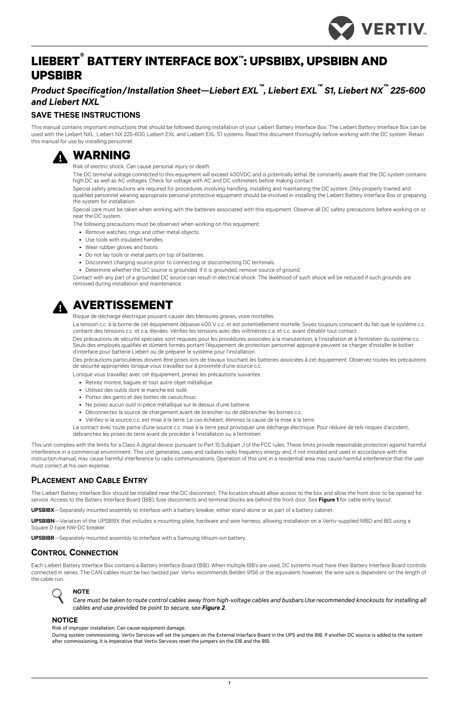*1*



# **LIEBERT® BATTERY INTERFACE BOX™: UPSBIBX, UPSBIBN AND UPSBIBR**

*Product Specification/Installation Sheet—Liebert EXL™, Liebert EXL™ S1, Liebert NX™ 225-600 and Liebert NXL™*

### **SAVE THESE INSTRUCTIONS**

This manual contains important instructions that should be followed during installation of your Liebert Battery Interface Box. The Liebert Battery Interface Box can be used with the Liebert NXL, Liebert NX 225-600, Liebert EXL and Liebert EXL S1 systems. Read this document thoroughly before working with the DC system. Retain this manual for use by installing personnel.



This unit complies with the limits for a Class A digital device, pursuant to Part 15 Subpart J of the FCC rules. These limits provide reasonable protection against harmful interference in a commercial environment. This unit generates, uses and radiates radio frequency energy and, if not installed and used in accordance with this instruction manual, may cause harmful interference to radio communications. Operation of this unit in a residential area may cause harmful interference that the user must correct at his own expense.

## **PLACEMENT AND CABLE ENTRY**

During system commissioning, Vertiv Services will set the jumpers on the External Interface Board in the UPS and the BIB. If another DC source is added to the system after commissioning, it is imperative that Vertiv Services reset the jumpers on the EIB and the BIB.

The Liebert Battery Interface Box should be installed near the DC disconnect. The location should allow access to the box and allow the front door to be opened for service. Access to the Battery Interface Board (BIB), fuse disconnects and terminal blocks are behind the front door. See **[Figure 1](#page-1-0)** for cable entry layout.

**UPSBIBX**—Separately mounted assembly to interface with a battery breaker, either stand-alone or as part of a battery cabinet.

**UPSBIBN**—Variation of the UPSBIBX that includes a mounting plate, hardware and wire harness, allowing installation on a Vertiv-supplied MBD and BIS using a

Square D type NW-DC breaker.

**UPSBIBR**—Separately mounted assembly to interface with a Samsung lithium-ion battery.

## **CONTROL CONNECTION**

Each Liebert Battery Interface Box contains a Battery Interface Board (BIB). When multiple BIB's are used, DC systems must have their Battery Interface Board controls connected in series. The CAN cables must be two twisted pair. Vertiv recommends Belden 9156 or the equivalent; however, the wire size is dependent on the length of the cable run..



La tension c.c. à la borne de cet équipement dépasse 400 V c.c. et est potentiellement mortelle. Soyez toujours conscient du fait que le système c.c. contient des tensions c.c. et c.a. élevées. Vérifiez les tensions avec des voltmètres c.a. et c.c. avant d'établir tout contact.

### **NOTICE**

Risk of improper installation. Can cause equipment damage.

# **! WARNING**

Risk of electric shock. Can cause personal injury or death.

The DC terminal voltage connected to this equipment will exceed 400VDC and is potentially lethal. Be constantly aware that the DC system contains high DC as well as AC voltages. Check for voltage with AC and DC voltmeters before making contact.

Special safety precautions are required for procedures involving handling, installing and maintaining the DC system. Only properly trained and qualified personnel wearing appropriate personal protective equipment should be involved in installing the Liebert Battery Interface Box or preparing the system for installation.

Special care must be taken when working with the batteries associated with this equipment. Observe all DC safety precautions before working on or near the DC system.

The following precautions must be observed when working on this equipment:

- Remove watches, rings and other metal objects.
- Use tools with insulated handles.
- Wear rubber gloves and boots.
- Do not lay tools or metal parts on top of batteries.
- Disconnect charging source prior to connecting or disconnecting DC terminals.
- Determine whether the DC source is grounded. If it is grounded, remove source of ground.

Contact with any part of a grounded DC source can result in electrical shock. The likelihood of such shock will be reduced if such grounds are removed during installation and maintenance.



# **! AVERTISSEMENT**

Risque de décharge électrique pouvant causer des blessures graves, voire mortelles.

Des précautions de sécurité spéciales sont requises pour les procédures associées à la manutention, à l'installation et à l'entretien du système c.c. Seuls des employés qualifiés et dûment formés portant l'équipement de protection personnel approprié peuvent se charger d'installer le boîtier d'interface pour batterie Liebert ou de préparer le système pour l'installation.

Des précautions particulières doivent être prises lors de travaux touchant les batteries associées à cet équipement. Observez toutes les précautions de sécurité appropriées lorsque vous travaillez sur à proximité d'une source c.c.

Lorsque vous travaillez avec cet équipement, prenez les précautions suivantes :

- Retirez montre, bagues et tout autre objet métallique.
- Utilisez des outils dont le manche est isolé.
- Portez des gants et des bottes de caoutchouc.
- Ne posez aucun outil ni pièce métallique sur le dessus d'une batterie.
- Déconnectez la source de chargement avant de brancher ou de débrancher les bornes c.c.
- Vérifiez si la source c.c. est mise à la terre. Le cas échéant, éliminez la cause de la mise à la terre.

Le contact avec toute partie d'une source c.c. mise à la terre peut provoquer une décharge électrique. Pour réduire de tels risques d'accident, débranchez les prises de terre avant de procéder à l'installation ou à l'entretien.

### **NOTE**

*Care must be taken to route control cables away from high-voltage cables and busbars.Use recommended knockouts for installing all cables and use provided tie point to secure, see [Figure 2](#page-1-1).*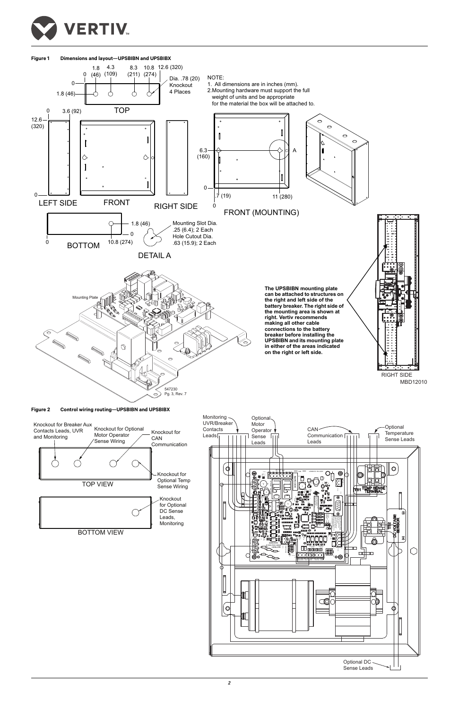

<span id="page-1-0"></span>**Figure 1 Dimensions and layout—UPSBIBN and UPSBIBX**





<span id="page-1-1"></span>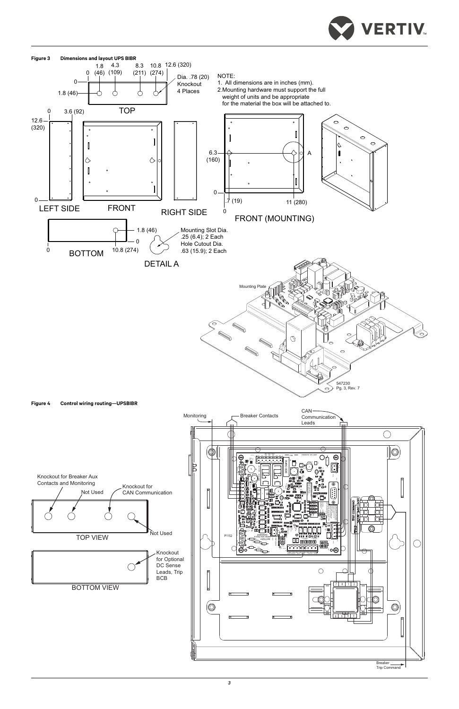

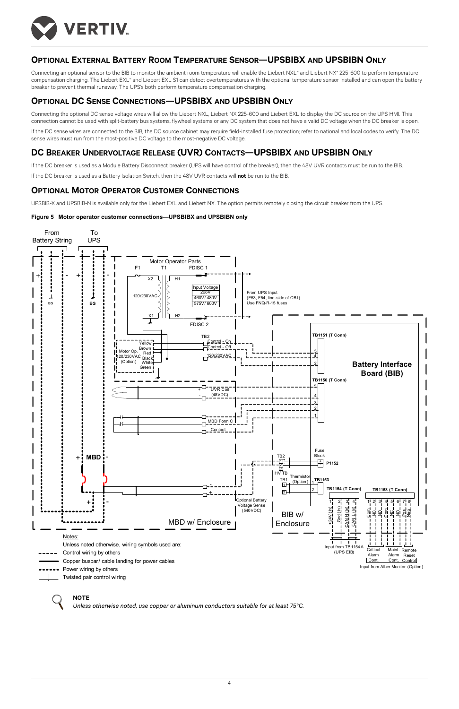

## **OPTIONAL EXTERNAL BATTERY ROOM TEMPERATURE SENSOR—UPSBIBX AND UPSBIBN ONLY**

Connecting an optional sensor to the BIB to monitor the ambient room temperature will enable the Liebert NXL™ and Liebert NX™ 225-600 to perform temperature compensation charging. The Liebert EXL™ and Liebert EXL S1 can detect overtemperatures with the optional temperature sensor installed and can open the battery breaker to prevent thermal runaway. The UPS's both perform temperature compensation charging.

## **OPTIONAL DC SENSE CONNECTIONS—UPSBIBX AND UPSBIBN ONLY**

Connecting the optional DC sense voltage wires will allow the Liebert NXL, Liebert NX 225-600 and Liebert EXL to display the DC source on the UPS HMI. This connection cannot be used with split-battery bus systems, flywheel systems or any DC system that does not have a valid DC voltage when the DC breaker is open.

If the DC sense wires are connected to the BIB, the DC source cabinet may require field-installed fuse protection; refer to national and local codes to verify. The DC sense wires must run from the most-positive DC voltage to the most-negative DC voltage.

### **DC BREAKER UNDERVOLTAGE RELEASE (UVR) CONTACTS—UPSBIBX AND UPSBIBN ONLY**

If the DC breaker is used as a Module Battery Disconnect breaker (UPS will have control of the breaker), then the 48V UVR contacts must be run to the BIB.

If the DC breaker is used as a Battery Isolation Switch, then the 48V UVR contacts will **not** be run to the BIB.

### **OPTIONAL MOTOR OPERATOR CUSTOMER CONNECTIONS**

UPSBIB-X and UPSBIB-N is available only for the Liebert EXL and Liebert NX. The option permits remotely closing the circuit breaker from the UPS.

### **Figure 5 Motor operator customer connections—UPSBIBX and UPSBIBN only**

### **NOTE**

*Unless otherwise noted, use copper or aluminum conductors suitable for at least 75°C.*

- -
- Power wiring by others
	- Twisted pair control wiring

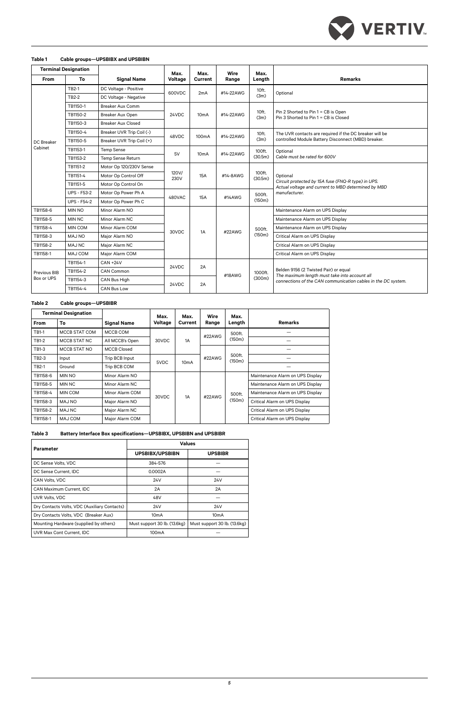### **Table 1 Cable groups—UPSBIBX and UPSBIBN**



| <b>Terminal Designation</b> |                    |                           | Max.          | Max.               | <b>Wire</b> | Max.              |                                                                                                                                                         |  |
|-----------------------------|--------------------|---------------------------|---------------|--------------------|-------------|-------------------|---------------------------------------------------------------------------------------------------------------------------------------------------------|--|
| From                        | To                 | <b>Signal Name</b>        | Voltage       | <b>Current</b>     | Range       | Length            | <b>Remarks</b>                                                                                                                                          |  |
| DC Breaker<br>Cabinet       | <b>TB2-1</b>       | DC Voltage - Positive     | 600VDC        | 2mA                | #14-22AWG   | 10ft.<br>(3m)     | Optional                                                                                                                                                |  |
|                             | TB2-2              | DC Voltage - Negative     |               |                    |             |                   |                                                                                                                                                         |  |
|                             | TB1150-1           | <b>Breaker Aux Comm</b>   |               | 10 <sub>m</sub> A  | #14-22AWG   | 10ft.<br>(3m)     |                                                                                                                                                         |  |
|                             | TB1150-2           | Breaker Aux Open          | 24VDC         |                    |             |                   | Pin 2 Shorted to Pin 1 = CB is Open<br>Pin 3 Shorted to Pin 1 = CB is Closed                                                                            |  |
|                             | TB1150-3           | <b>Breaker Aux Closed</b> |               |                    |             |                   |                                                                                                                                                         |  |
|                             | TB1150-4           | Breaker UVR Trip Coil (-) | 48VDC         | 100 <sub>m</sub> A | #14-22AWG   | 10ft.<br>(3m)     | The UVR contacts are required if the DC breaker will be                                                                                                 |  |
|                             | TB1150-5           | Breaker UVR Trip Coil (+) |               |                    |             |                   | controlled Module Battery Disconnect (MBD) breaker.                                                                                                     |  |
|                             | TB1153-1           | <b>Temp Sense</b>         | 5V            | 10 <sub>m</sub> A  | #14-22AWG   | 100ft.<br>(30.5m) | Optional                                                                                                                                                |  |
|                             | TB1153-2           | Temp Sense Return         |               |                    |             |                   | Cable must be rated for 600V                                                                                                                            |  |
|                             | TB1151-2           | Motor Op 120/230V Sense   | 120V/<br>230V | 15A                | #14-8AWG    | 100ft.<br>(30.5m) |                                                                                                                                                         |  |
|                             | TB1151-4           | Motor Op Control Off      |               |                    |             |                   | Optional<br>Circuit protected by 15A fuse (FNQ-R type) in UPS.<br>Actual voltage and current to MBD determined by MBD                                   |  |
|                             | TB1151-5           | Motor Op Control On       |               |                    |             |                   |                                                                                                                                                         |  |
|                             | <b>UPS - F53-2</b> | Motor Op Power Ph A       | 480VAC        | 15A                | #14AWG      | 500ft.<br>(150m)  | manufacturer.                                                                                                                                           |  |
|                             | <b>UPS - F54-2</b> | Motor Op Power Ph C       |               |                    |             |                   |                                                                                                                                                         |  |
| TB1158-6                    | <b>MIN NO</b>      | Minor Alarm NO            |               |                    |             |                   | Maintenance Alarm on UPS Display                                                                                                                        |  |
| TB1158-5                    | <b>MIN NC</b>      | Minor Alarm NC            |               |                    | #22AWG      | 500ft.<br>(150m)  | Maintenance Alarm on UPS Display                                                                                                                        |  |
| TB1158-4                    | <b>MIN COM</b>     | Minor Alarm COM           | 30VDC         | 1A                 |             |                   | Maintenance Alarm on UPS Display                                                                                                                        |  |
| TB1158-3                    | MAJ NO             | Major Alarm NO            |               |                    |             |                   | Critical Alarm on UPS Display                                                                                                                           |  |
| TB1158-2                    | <b>MAJ NC</b>      | Major Alarm NC            |               |                    |             |                   | Critical Alarm on UPS Display                                                                                                                           |  |
| TB1158-1                    | <b>MAJ COM</b>     | Major Alarm COM           |               |                    |             |                   | Critical Alarm on UPS Display                                                                                                                           |  |
| Previous BIB<br>Box or UPS  | TB1154-1           | <b>CAN +24V</b>           | 24VDC         | 2A                 | #18AWG      | 1000ft.<br>(300m) |                                                                                                                                                         |  |
|                             | TB1154-2           | <b>CAN Common</b>         |               |                    |             |                   | Belden 9156 (2 Twisted Pair) or equal<br>The maximum length must take into account all<br>connections of the CAN communication cables in the DC system. |  |
|                             | TB1154-3           | CAN Bus High              | 24VDC         | 2A                 |             |                   |                                                                                                                                                         |  |
|                             | TB1154-4           | <b>CAN Bus Low</b>        |               |                    |             |                   |                                                                                                                                                         |  |

### **Table 2 Cable groups—UPSBIBR**

| <b>Terminal Designation</b> |                |                    | Max.    | Max.              | Wire   | Max.             |                                  |
|-----------------------------|----------------|--------------------|---------|-------------------|--------|------------------|----------------------------------|
| <b>From</b>                 | Тο             | <b>Signal Name</b> | Voltage | <b>Current</b>    | Range  | Length           | <b>Remarks</b>                   |
| TB1-1                       | MCCB STAT COM  | MCCB COM           | 30VDC   | 1A                | #22AWG | 500ft.<br>(150m) |                                  |
| TB1-2                       | MCCB STAT NC   | All MCCB's Open    |         |                   |        |                  |                                  |
| TB1-3                       | MCCB STAT NO   | <b>MCCB Closed</b> |         |                   | #22AWG | 500ft.<br>(150m) |                                  |
| TB2-3                       | Input          | Trip BCB Input     | 5VDC    | 10 <sub>m</sub> A |        |                  |                                  |
| <b>TB2-1</b>                | Ground         | Trip BCB COM       |         |                   |        |                  |                                  |
| TB1158-6                    | <b>MIN NO</b>  | Minor Alarm NO     |         | 1A                | #22AWG | 500ft.<br>(150m) | Maintenance Alarm on UPS Display |
| TB1158-5                    | <b>MIN NC</b>  | Minor Alarm NC     | 30VDC   |                   |        |                  | Maintenance Alarm on UPS Display |
| TB1158-4                    | <b>MIN COM</b> | Minor Alarm COM    |         |                   |        |                  | Maintenance Alarm on UPS Display |
| TB1158-3                    | MAJ NO         | Major Alarm NO     |         |                   |        |                  | Critical Alarm on UPS Display    |
| TB1158-2                    | <b>MAJ NC</b>  | Major Alarm NC     |         |                   |        |                  | Critical Alarm on UPS Display    |
| TB1158-1                    | <b>MAJ COM</b> | Major Alarm COM    |         |                   |        |                  | Critical Alarm on UPS Display    |

### **Table 3 Battery Interface Box specifications—UPSBIBX, UPSBIBN and UPSBIBR**

| <b>Parameter</b>                             | <b>Values</b>                |                              |  |  |  |
|----------------------------------------------|------------------------------|------------------------------|--|--|--|
|                                              | <b>UPSBIBX/UPSBIBN</b>       | <b>UPSBIBR</b>               |  |  |  |
| DC Sense Volts, VDC                          | 384-576                      |                              |  |  |  |
| DC Sense Current, IDC                        | 0.0002A                      |                              |  |  |  |
| CAN Volts, VDC                               | 24V                          | 24V                          |  |  |  |
| CAN Maximum Current, IDC                     | 2A                           | 2A                           |  |  |  |
| UVR Volts, VDC                               | 48V                          |                              |  |  |  |
| Dry Contacts Volts, VDC (Auxiliary Contacts) | 24V                          | 24V                          |  |  |  |
| Dry Contacts Volts, VDC (Breaker Aux)        | 10 <sub>m</sub> A            | 10 <sub>m</sub> A            |  |  |  |
| Mounting Hardware (supplied by others)       | Must support 30 lb. (13.6kg) | Must support 30 lb. (13.6kg) |  |  |  |
| UVR Max Cont Current, IDC                    | 100 <sub>m</sub> A           |                              |  |  |  |